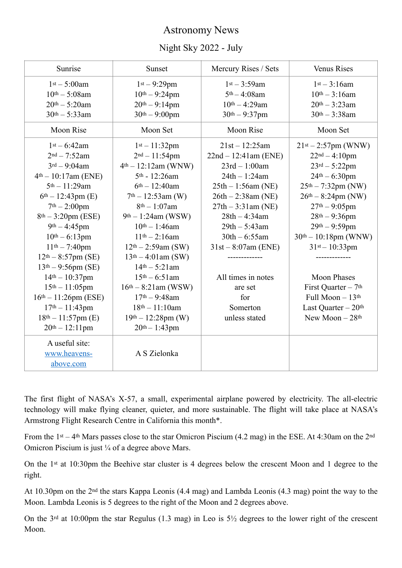## Astronomy News

## Night Sky 2022 - July

| Sunrise                   | Sunset                 | Mercury Rises / Sets   | <b>Venus Rises</b>               |
|---------------------------|------------------------|------------------------|----------------------------------|
| $1st - 5:00am$            | $1st - 9:29pm$         | $1st - 3:59am$         | $1st - 3:16am$                   |
| $10^{th} - 5:08$ am       | $10^{th} - 9:24$ pm    | $5th - 4:08$ am        | $10^{th} - 3:16$ am              |
| $20th - 5:20am$           | $20th - 9:14pm$        | $10^{th} - 4:29$ am    | $20th - 3:23am$                  |
| $30th - 5:33am$           | $30th - 9:00pm$        | $30th - 9:37pm$        | $30th - 3:38$ am                 |
| Moon Rise                 | Moon Set               | Moon Rise              | Moon Set                         |
| $1st - 6:42am$            | $1st - 11:32pm$        | $21st - 12:25am$       | $21st - 2:57pm$ (WNW)            |
| $2nd - 7:52am$            | $2nd - 11:54pm$        | $22nd - 12:41am$ (ENE) | $22nd - 4:10pm$                  |
| $3^{rd} - 9:04$ am        | $4th - 12:12am$ (WNW)  | $23rd - 1:00am$        | $23rd - 5:22pm$                  |
| $4th - 10:17$ am (ENE)    | 5th - 12:26am          | $24th - 1:24am$        | $24th - 6:30pm$                  |
| 5th - 11:29am             | $6th - 12:40$ am       | $25th - 1:56am$ (NE)   | $25th - 7:32pm (NW)$             |
| $6th - 12:43pm (E)$       | $7th - 12:53am$ (W)    | $26th - 2:38am$ (NE)   | $26th - 8:24pm (NW)$             |
| $7th - 2:00pm$            | $8^{th} - 1:07$ am     | $27th - 3:31am (NE)$   | $27th - 9:05pm$                  |
| $8th - 3:20pm (ESE)$      | $9th - 1:24am$ (WSW)   | $28th - 4:34am$        | $28th - 9:36pm$                  |
| $9th - 4:45pm$            | $10^{th} - 1:46$ am    | $29th - 5:43am$        | $29th - 9:59pm$                  |
| $10th - 6:13pm$           | $11th - 2:16am$        | $30th - 6:55am$        | $30th - 10:18pm$ (WNW)           |
| $11th - 7:40pm$           | $12th - 2:59am$ (SW)   | $31st - 8:07am$ (ENE)  | $31st - 10:33pm$                 |
| $12th - 8:57pm$ (SE)      | $13th - 4:01$ am (SW)  |                        |                                  |
| $13th - 9:56pm(SE)$       | $14th - 5:21am$        |                        |                                  |
| $14th - 10:37pm$          | $15th - 6:51am$        | All times in notes     | <b>Moon Phases</b>               |
| $15th - 11:05pm$          | $16th - 8:21$ am (WSW) | are set                | First Quarter - 7 <sup>th</sup>  |
| $16th - 11:26pm (ESE)$    | $17th - 9:48am$        | for                    | Full Moon - 13th                 |
| $17th - 11:43pm$          | $18th - 11:10am$       | Somerton               | Last Quarter $-20$ <sup>th</sup> |
| $18th - 11:57pm$ (E)      | $19th - 12:28pm (W)$   | unless stated          | New Moon $-28$ <sup>th</sup>     |
| $20th - 12:11$ pm         | $20th - 1:43pm$        |                        |                                  |
| A useful site:            |                        |                        |                                  |
| www.heavens-<br>above.com | A S Zielonka           |                        |                                  |
|                           |                        |                        |                                  |

The first flight of NASA's X-57, a small, experimental airplane powered by electricity. The all-electric technology will make flying cleaner, quieter, and more sustainable. The flight will take place at NASA's Armstrong Flight Research Centre in California this month\*.

From the 1<sup>st</sup> – 4<sup>th</sup> Mars passes close to the star Omicron Piscium (4.2 mag) in the ESE. At 4:30am on the 2<sup>nd</sup> Omicron Piscium is just ¼ of a degree above Mars.

On the 1st at 10:30pm the Beehive star cluster is 4 degrees below the crescent Moon and 1 degree to the right.

At 10.30pm on the 2nd the stars Kappa Leonis (4.4 mag) and Lambda Leonis (4.3 mag) point the way to the Moon. Lambda Leonis is 5 degrees to the right of the Moon and 2 degrees above.

On the 3<sup>rd</sup> at 10:00pm the star Regulus (1.3 mag) in Leo is  $5\frac{1}{2}$  degrees to the lower right of the crescent Moon.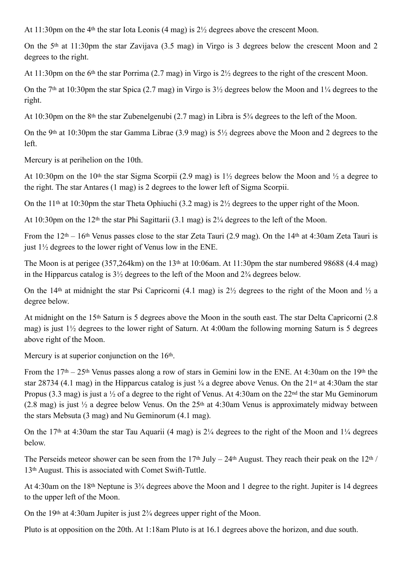At 11:30pm on the 4th the star Iota Leonis (4 mag) is 2½ degrees above the crescent Moon.

On the 5th at 11:30pm the star Zavijava (3.5 mag) in Virgo is 3 degrees below the crescent Moon and 2 degrees to the right.

At 11:30pm on the 6th the star Porrima (2.7 mag) in Virgo is 2½ degrees to the right of the crescent Moon.

On the 7<sup>th</sup> at 10:30pm the star Spica (2.7 mag) in Virgo is  $3\frac{1}{2}$  degrees below the Moon and  $1\frac{1}{4}$  degrees to the right.

At 10:30pm on the 8th the star Zubenelgenubi (2.7 mag) in Libra is 5¾ degrees to the left of the Moon.

On the 9th at 10:30pm the star Gamma Librae (3.9 mag) is 5½ degrees above the Moon and 2 degrees to the left.

Mercury is at perihelion on the 10th.

At 10:30pm on the 10<sup>th</sup> the star Sigma Scorpii (2.9 mag) is  $1\frac{1}{2}$  degrees below the Moon and  $\frac{1}{2}$  a degree to the right. The star Antares (1 mag) is 2 degrees to the lower left of Sigma Scorpii.

On the 11<sup>th</sup> at 10:30pm the star Theta Ophiuchi (3.2 mag) is  $2\frac{1}{2}$  degrees to the upper right of the Moon.

At 10:30pm on the 12th the star Phi Sagittarii (3.1 mag) is 2¼ degrees to the left of the Moon.

From the 12th – 16th Venus passes close to the star Zeta Tauri (2.9 mag). On the 14th at 4:30am Zeta Tauri is just 1½ degrees to the lower right of Venus low in the ENE.

The Moon is at perigee (357,264km) on the 13<sup>th</sup> at 10:06am. At 11:30pm the star numbered 98688 (4.4 mag) in the Hipparcus catalog is 3½ degrees to the left of the Moon and 2¾ degrees below.

On the 14<sup>th</sup> at midnight the star Psi Capricorni (4.1 mag) is  $2\frac{1}{2}$  degrees to the right of the Moon and  $\frac{1}{2}$  a degree below.

At midnight on the 15th Saturn is 5 degrees above the Moon in the south east. The star Delta Capricorni (2.8 mag) is just 1½ degrees to the lower right of Saturn. At 4:00am the following morning Saturn is 5 degrees above right of the Moon.

Mercury is at superior conjunction on the 16<sup>th</sup>.

From the 17th – 25th Venus passes along a row of stars in Gemini low in the ENE. At 4:30am on the 19th the star 28734 (4.1 mag) in the Hipparcus catalog is just ¾ a degree above Venus. On the 21st at 4:30am the star Propus (3.3 mag) is just a  $\frac{1}{2}$  of a degree to the right of Venus. At 4:30am on the 22<sup>nd</sup> the star Mu Geminorum (2.8 mag) is just  $\frac{1}{2}$  a degree below Venus. On the 25<sup>th</sup> at 4:30am Venus is approximately midway between the stars Mebsuta (3 mag) and Nu Geminorum (4.1 mag).

On the 17<sup>th</sup> at 4:30am the star Tau Aquarii (4 mag) is  $2\frac{1}{4}$  degrees to the right of the Moon and  $1\frac{1}{4}$  degrees below.

The Perseids meteor shower can be seen from the  $17<sup>th</sup>$  July –  $24<sup>th</sup>$  August. They reach their peak on the  $12<sup>th</sup>$  / 13th August. This is associated with Comet Swift-Tuttle.

At 4:30am on the 18th Neptune is 3¾ degrees above the Moon and 1 degree to the right. Jupiter is 14 degrees to the upper left of the Moon.

On the 19<sup>th</sup> at 4:30am Jupiter is just  $2\frac{3}{4}$  degrees upper right of the Moon.

Pluto is at opposition on the 20th. At 1:18am Pluto is at 16.1 degrees above the horizon, and due south.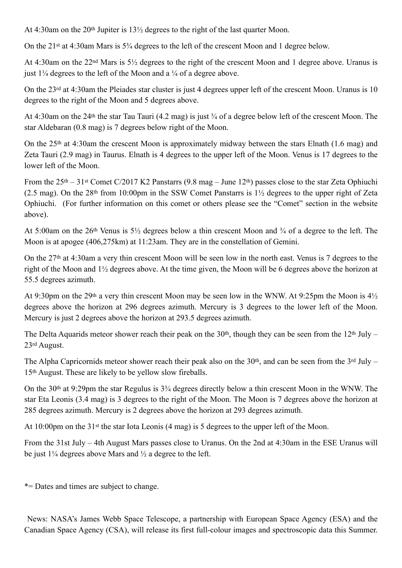At 4:30am on the 20th Jupiter is 13½ degrees to the right of the last quarter Moon.

On the 21st at 4:30am Mars is 5¾ degrees to the left of the crescent Moon and 1 degree below.

At 4:30am on the 22nd Mars is 5½ degrees to the right of the crescent Moon and 1 degree above. Uranus is just  $1\frac{1}{4}$  degrees to the left of the Moon and a  $\frac{1}{4}$  of a degree above.

On the 23rd at 4:30am the Pleiades star cluster is just 4 degrees upper left of the crescent Moon. Uranus is 10 degrees to the right of the Moon and 5 degrees above.

At 4:30am on the 24th the star Tau Tauri (4.2 mag) is just ¾ of a degree below left of the crescent Moon. The star Aldebaran (0.8 mag) is 7 degrees below right of the Moon.

On the 25th at 4:30am the crescent Moon is approximately midway between the stars Elnath (1.6 mag) and Zeta Tauri (2.9 mag) in Taurus. Elnath is 4 degrees to the upper left of the Moon. Venus is 17 degrees to the lower left of the Moon.

From the 25th – 31st Comet C/2017 K2 Panstarrs (9.8 mag – June 12th) passes close to the star Zeta Ophiuchi (2.5 mag). On the 28th from 10:00pm in the SSW Comet Panstarrs is 1½ degrees to the upper right of Zeta Ophiuchi. (For further information on this comet or others please see the "Comet" section in the website above).

At 5:00am on the 26th Venus is 5½ degrees below a thin crescent Moon and ¾ of a degree to the left. The Moon is at apogee (406,275km) at 11:23am. They are in the constellation of Gemini.

On the 27th at 4:30am a very thin crescent Moon will be seen low in the north east. Venus is 7 degrees to the right of the Moon and 1½ degrees above. At the time given, the Moon will be 6 degrees above the horizon at 55.5 degrees azimuth.

At 9:30pm on the 29th a very thin crescent Moon may be seen low in the WNW. At 9:25pm the Moon is 4½ degrees above the horizon at 296 degrees azimuth. Mercury is 3 degrees to the lower left of the Moon. Mercury is just 2 degrees above the horizon at 293.5 degrees azimuth.

The Delta Aquarids meteor shower reach their peak on the  $30<sup>th</sup>$ , though they can be seen from the  $12<sup>th</sup>$  July – 23rd August.

The Alpha Capricornids meteor shower reach their peak also on the  $30<sup>th</sup>$ , and can be seen from the  $3<sup>rd</sup>$  July – 15th August. These are likely to be yellow slow fireballs.

On the 30th at 9:29pm the star Regulus is 3¾ degrees directly below a thin crescent Moon in the WNW. The star Eta Leonis (3.4 mag) is 3 degrees to the right of the Moon. The Moon is 7 degrees above the horizon at 285 degrees azimuth. Mercury is 2 degrees above the horizon at 293 degrees azimuth.

At 10:00pm on the 31st the star Iota Leonis (4 mag) is 5 degrees to the upper left of the Moon.

From the 31st July – 4th August Mars passes close to Uranus. On the 2nd at 4:30am in the ESE Uranus will be just  $1\frac{1}{4}$  degrees above Mars and  $\frac{1}{2}$  a degree to the left.

\*= Dates and times are subject to change.

 News: NASA's James Webb Space Telescope, a partnership with European Space Agency (ESA) and the Canadian Space Agency (CSA), will release its first full-colour images and spectroscopic data this Summer.